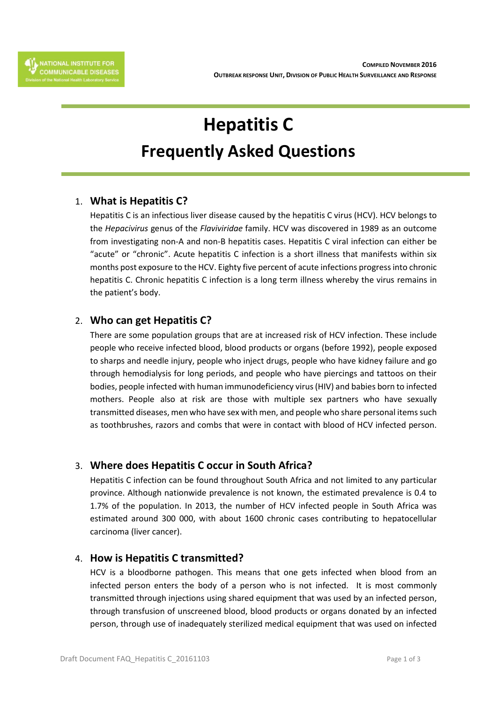# **Hepatitis C Frequently Asked Questions**

## 1. **What is Hepatitis C?**

Hepatitis C is an infectious liver disease caused by the hepatitis C virus (HCV). HCV belongs to the *Hepacivirus* genus of the *Flaviviridae* family. HCV was discovered in 1989 as an outcome from investigating non-A and non-B hepatitis cases. Hepatitis C viral infection can either be "acute" or "chronic". Acute hepatitis C infection is a short illness that manifests within six months post exposure to the HCV. Eighty five percent of acute infections progress into chronic hepatitis C. Chronic hepatitis C infection is a long term illness whereby the virus remains in the patient's body.

## 2. **Who can get Hepatitis C?**

There are some population groups that are at increased risk of HCV infection. These include people who receive infected blood, blood products or organs (before 1992), people exposed to sharps and needle injury, people who inject drugs, people who have kidney failure and go through hemodialysis for long periods, and people who have piercings and tattoos on their bodies, people infected with human immunodeficiency virus (HIV) and babies born to infected mothers. People also at risk are those with multiple sex partners who have sexually transmitted diseases, men who have sex with men, and people who share personal items such as toothbrushes, razors and combs that were in contact with blood of HCV infected person.

## 3. **Where does Hepatitis C occur in South Africa?**

Hepatitis C infection can be found throughout South Africa and not limited to any particular province. Although nationwide prevalence is not known, the estimated prevalence is 0.4 to 1.7% of the population. In 2013, the number of HCV infected people in South Africa was estimated around 300 000, with about 1600 chronic cases contributing to hepatocellular carcinoma (liver cancer).

## 4. **How is Hepatitis C transmitted?**

HCV is a bloodborne pathogen. This means that one gets infected when blood from an infected person enters the body of a person who is not infected. It is most commonly transmitted through injections using shared equipment that was used by an infected person, through transfusion of unscreened blood, blood products or organs donated by an infected person, through use of inadequately sterilized medical equipment that was used on infected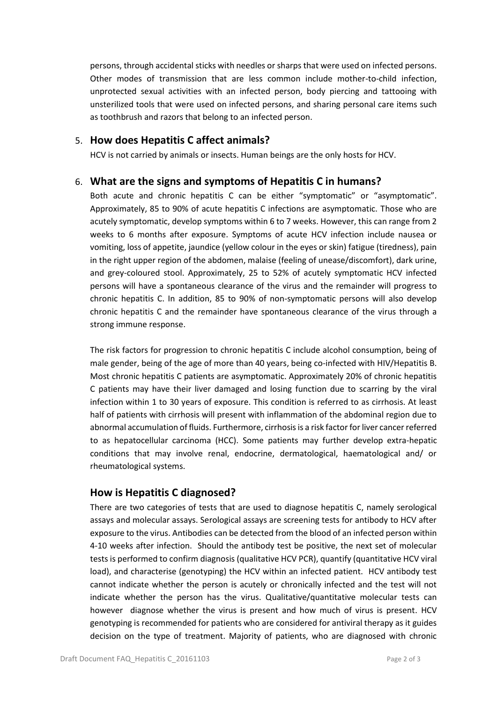persons, through accidental sticks with needles or sharps that were used on infected persons. Other modes of transmission that are less common include mother-to-child infection, unprotected sexual activities with an infected person, body piercing and tattooing with unsterilized tools that were used on infected persons, and sharing personal care items such as toothbrush and razors that belong to an infected person.

#### 5. **How does Hepatitis C affect animals?**

HCV is not carried by animals or insects. Human beings are the only hosts for HCV.

### 6. **What are the signs and symptoms of Hepatitis C in humans?**

Both acute and chronic hepatitis C can be either "symptomatic" or "asymptomatic". Approximately, 85 to 90% of acute hepatitis C infections are asymptomatic. Those who are acutely symptomatic, develop symptoms within 6 to 7 weeks. However, this can range from 2 weeks to 6 months after exposure. Symptoms of acute HCV infection include nausea or vomiting, loss of appetite, jaundice (yellow colour in the eyes or skin) fatigue (tiredness), pain in the right upper region of the abdomen, malaise (feeling of unease/discomfort), dark urine, and grey-coloured stool. Approximately, 25 to 52% of acutely symptomatic HCV infected persons will have a spontaneous clearance of the virus and the remainder will progress to chronic hepatitis C. In addition, 85 to 90% of non-symptomatic persons will also develop chronic hepatitis C and the remainder have spontaneous clearance of the virus through a strong immune response.

The risk factors for progression to chronic hepatitis C include alcohol consumption, being of male gender, being of the age of more than 40 years, being co-infected with HIV/Hepatitis B. Most chronic hepatitis C patients are asymptomatic. Approximately 20% of chronic hepatitis C patients may have their liver damaged and losing function due to scarring by the viral infection within 1 to 30 years of exposure. This condition is referred to as cirrhosis. At least half of patients with cirrhosis will present with inflammation of the abdominal region due to abnormal accumulation of fluids. Furthermore, cirrhosis is a risk factor for liver cancer referred to as hepatocellular carcinoma (HCC). Some patients may further develop extra-hepatic conditions that may involve renal, endocrine, dermatological, haematological and/ or rheumatological systems.

### **How is Hepatitis C diagnosed?**

There are two categories of tests that are used to diagnose hepatitis C, namely serological assays and molecular assays. Serological assays are screening tests for antibody to HCV after exposure to the virus. Antibodies can be detected from the blood of an infected person within 4-10 weeks after infection. Should the antibody test be positive, the next set of molecular tests is performed to confirm diagnosis (qualitative HCV PCR), quantify (quantitative HCV viral load), and characterise (genotyping) the HCV within an infected patient. HCV antibody test cannot indicate whether the person is acutely or chronically infected and the test will not indicate whether the person has the virus. Qualitative/quantitative molecular tests can however diagnose whether the virus is present and how much of virus is present. HCV genotyping is recommended for patients who are considered for antiviral therapy as it guides decision on the type of treatment. Majority of patients, who are diagnosed with chronic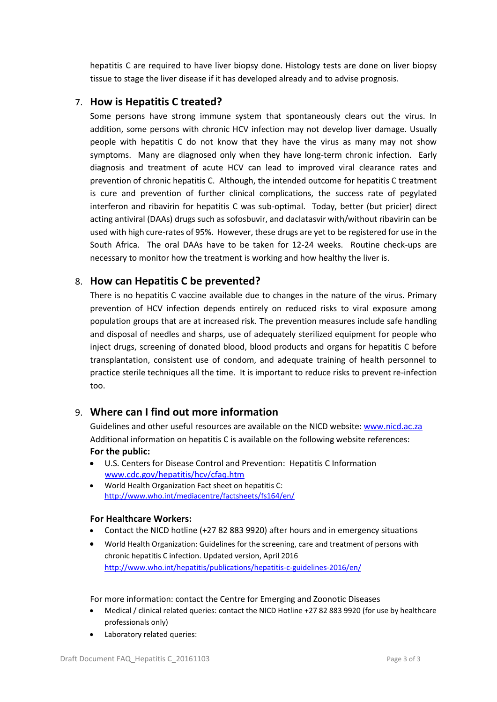hepatitis C are required to have liver biopsy done. Histology tests are done on liver biopsy tissue to stage the liver disease if it has developed already and to advise prognosis.

#### 7. **How is Hepatitis C treated?**

Some persons have strong immune system that spontaneously clears out the virus. In addition, some persons with chronic HCV infection may not develop liver damage. Usually people with hepatitis C do not know that they have the virus as many may not show symptoms. Many are diagnosed only when they have long-term chronic infection. Early diagnosis and treatment of acute HCV can lead to improved viral clearance rates and prevention of chronic hepatitis C. Although, the intended outcome for hepatitis C treatment is cure and prevention of further clinical complications, the success rate of pegylated interferon and ribavirin for hepatitis C was sub-optimal. Today, better (but pricier) direct acting antiviral (DAAs) drugs such as sofosbuvir, and daclatasvir with/without ribavirin can be used with high cure-rates of 95%. However, these drugs are yet to be registered for use in the South Africa. The oral DAAs have to be taken for 12-24 weeks. Routine check-ups are necessary to monitor how the treatment is working and how healthy the liver is.

#### 8. **How can Hepatitis C be prevented?**

There is no hepatitis C vaccine available due to changes in the nature of the virus. Primary prevention of HCV infection depends entirely on reduced risks to viral exposure among population groups that are at increased risk. The prevention measures include safe handling and disposal of needles and sharps, use of adequately sterilized equipment for people who inject drugs, screening of donated blood, blood products and organs for hepatitis C before transplantation, consistent use of condom, and adequate training of health personnel to practice sterile techniques all the time. It is important to reduce risks to prevent re-infection too.

### 9. **Where can I find out more information**

Guidelines and other useful resources are available on the NICD website: [www.nicd.ac.za](http://www.nicd.ac.za/) Additional information on hepatitis C is available on the following website references: **For the public:**

- U.S. Centers for Disease Control and Prevention: Hepatitis C Information [www.cdc.gov/hepatitis/hcv/cfaq.htm](http://www.cdc.gov/hepatitis/hcv/cfaq.htm)
- World Health Organization Fact sheet on hepatitis C: <http://www.who.int/mediacentre/factsheets/fs164/en/>

#### **For Healthcare Workers:**

- Contact the NICD hotline (+27 82 883 9920) after hours and in emergency situations
- World Health Organization: Guidelines for the screening, care and treatment of persons with chronic hepatitis C infection. Updated version, April 2016 <http://www.who.int/hepatitis/publications/hepatitis-c-guidelines-2016/en/>

For more information: contact the Centre for Emerging and Zoonotic Diseases

- Medical / clinical related queries: contact the NICD Hotline +27 82 883 9920 (for use by healthcare professionals only)
- Laboratory related queries: